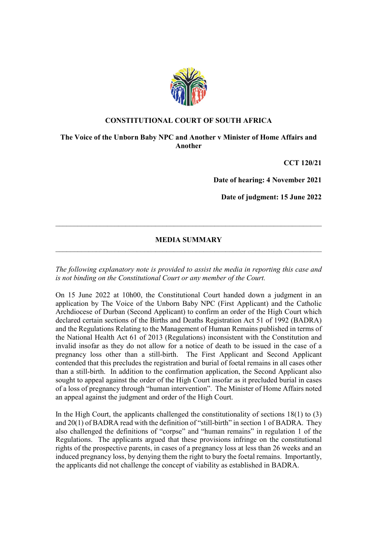

## CONSTITUTIONAL COURT OF SOUTH AFRICA

The Voice of the Unborn Baby NPC and Another v Minister of Home Affairs and Another

CCT 120/21

Date of hearing: 4 November 2021

Date of judgment: 15 June 2022

## MEDIA SUMMARY  $\mathcal{L}_\text{max} = \mathcal{L}_\text{max} = \mathcal{L}_\text{max} = \mathcal{L}_\text{max} = \mathcal{L}_\text{max} = \mathcal{L}_\text{max} = \mathcal{L}_\text{max} = \mathcal{L}_\text{max} = \mathcal{L}_\text{max} = \mathcal{L}_\text{max} = \mathcal{L}_\text{max} = \mathcal{L}_\text{max} = \mathcal{L}_\text{max} = \mathcal{L}_\text{max} = \mathcal{L}_\text{max} = \mathcal{L}_\text{max} = \mathcal{L}_\text{max} = \mathcal{L}_\text{max} = \mathcal{$

 $\_$  , and the contribution of the contribution of  $\mathcal{L}_\mathcal{A}$  , and the contribution of  $\mathcal{L}_\mathcal{A}$ 

The following explanatory note is provided to assist the media in reporting this case and is not binding on the Constitutional Court or any member of the Court.

On 15 June 2022 at 10h00, the Constitutional Court handed down a judgment in an application by The Voice of the Unborn Baby NPC (First Applicant) and the Catholic Archdiocese of Durban (Second Applicant) to confirm an order of the High Court which declared certain sections of the Births and Deaths Registration Act 51 of 1992 (BADRA) and the Regulations Relating to the Management of Human Remains published in terms of the National Health Act 61 of 2013 (Regulations) inconsistent with the Constitution and invalid insofar as they do not allow for a notice of death to be issued in the case of a pregnancy loss other than a still-birth. The First Applicant and Second Applicant contended that this precludes the registration and burial of foetal remains in all cases other than a still-birth. In addition to the confirmation application, the Second Applicant also sought to appeal against the order of the High Court insofar as it precluded burial in cases of a loss of pregnancy through "human intervention". The Minister of Home Affairs noted an appeal against the judgment and order of the High Court.

In the High Court, the applicants challenged the constitutionality of sections  $18(1)$  to  $(3)$ and 20(1) of BADRA read with the definition of "still-birth" in section 1 of BADRA. They also challenged the definitions of "corpse" and "human remains" in regulation 1 of the Regulations. The applicants argued that these provisions infringe on the constitutional rights of the prospective parents, in cases of a pregnancy loss at less than 26 weeks and an induced pregnancy loss, by denying them the right to bury the foetal remains. Importantly, the applicants did not challenge the concept of viability as established in BADRA.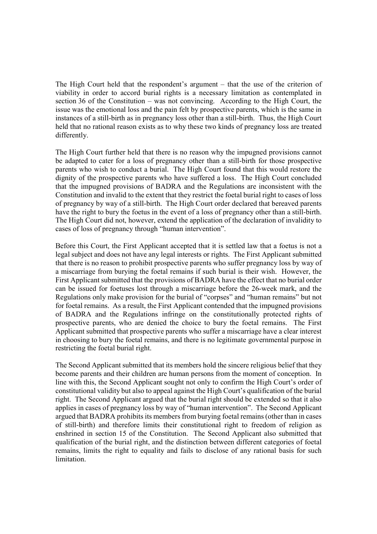The High Court held that the respondent's argument – that the use of the criterion of viability in order to accord burial rights is a necessary limitation as contemplated in section 36 of the Constitution – was not convincing. According to the High Court, the issue was the emotional loss and the pain felt by prospective parents, which is the same in instances of a still-birth as in pregnancy loss other than a still-birth. Thus, the High Court held that no rational reason exists as to why these two kinds of pregnancy loss are treated differently.

The High Court further held that there is no reason why the impugned provisions cannot be adapted to cater for a loss of pregnancy other than a still-birth for those prospective parents who wish to conduct a burial. The High Court found that this would restore the dignity of the prospective parents who have suffered a loss. The High Court concluded that the impugned provisions of BADRA and the Regulations are inconsistent with the Constitution and invalid to the extent that they restrict the foetal burial right to cases of loss of pregnancy by way of a still-birth. The High Court order declared that bereaved parents have the right to bury the foetus in the event of a loss of pregnancy other than a still-birth. The High Court did not, however, extend the application of the declaration of invalidity to cases of loss of pregnancy through "human intervention".

Before this Court, the First Applicant accepted that it is settled law that a foetus is not a legal subject and does not have any legal interests or rights. The First Applicant submitted that there is no reason to prohibit prospective parents who suffer pregnancy loss by way of a miscarriage from burying the foetal remains if such burial is their wish. However, the First Applicant submitted that the provisions of BADRA have the effect that no burial order can be issued for foetuses lost through a miscarriage before the 26-week mark, and the Regulations only make provision for the burial of "corpses" and "human remains" but not for foetal remains. As a result, the First Applicant contended that the impugned provisions of BADRA and the Regulations infringe on the constitutionally protected rights of prospective parents, who are denied the choice to bury the foetal remains. The First Applicant submitted that prospective parents who suffer a miscarriage have a clear interest in choosing to bury the foetal remains, and there is no legitimate governmental purpose in restricting the foetal burial right.

The Second Applicant submitted that its members hold the sincere religious belief that they become parents and their children are human persons from the moment of conception. In line with this, the Second Applicant sought not only to confirm the High Court's order of constitutional validity but also to appeal against the High Court's qualification of the burial right. The Second Applicant argued that the burial right should be extended so that it also applies in cases of pregnancy loss by way of "human intervention". The Second Applicant argued that BADRA prohibits its members from burying foetal remains (other than in cases of still-birth) and therefore limits their constitutional right to freedom of religion as enshrined in section 15 of the Constitution. The Second Applicant also submitted that qualification of the burial right, and the distinction between different categories of foetal remains, limits the right to equality and fails to disclose of any rational basis for such limitation.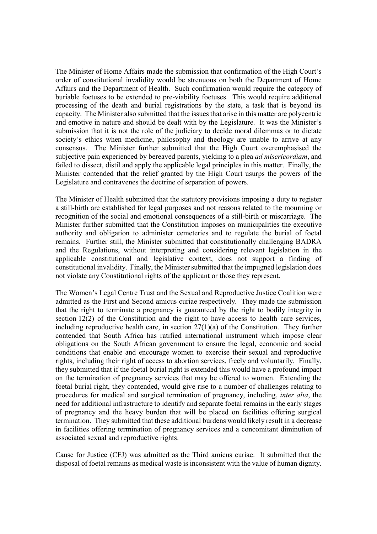The Minister of Home Affairs made the submission that confirmation of the High Court's order of constitutional invalidity would be strenuous on both the Department of Home Affairs and the Department of Health. Such confirmation would require the category of buriable foetuses to be extended to pre-viability foetuses. This would require additional processing of the death and burial registrations by the state, a task that is beyond its capacity. The Minister also submitted that the issues that arise in this matter are polycentric and emotive in nature and should be dealt with by the Legislature. It was the Minister's submission that it is not the role of the judiciary to decide moral dilemmas or to dictate society's ethics when medicine, philosophy and theology are unable to arrive at any consensus. The Minister further submitted that the High Court overemphasised the subjective pain experienced by bereaved parents, yielding to a plea *ad misericordiam*, and failed to dissect, distil and apply the applicable legal principles in this matter. Finally, the Minister contended that the relief granted by the High Court usurps the powers of the Legislature and contravenes the doctrine of separation of powers.

The Minister of Health submitted that the statutory provisions imposing a duty to register a still-birth are established for legal purposes and not reasons related to the mourning or recognition of the social and emotional consequences of a still-birth or miscarriage. The Minister further submitted that the Constitution imposes on municipalities the executive authority and obligation to administer cemeteries and to regulate the burial of foetal remains. Further still, the Minister submitted that constitutionally challenging BADRA and the Regulations, without interpreting and considering relevant legislation in the applicable constitutional and legislative context, does not support a finding of constitutional invalidity. Finally, the Minister submitted that the impugned legislation does not violate any Constitutional rights of the applicant or those they represent.

The Women's Legal Centre Trust and the Sexual and Reproductive Justice Coalition were admitted as the First and Second amicus curiae respectively. They made the submission that the right to terminate a pregnancy is guaranteed by the right to bodily integrity in section 12(2) of the Constitution and the right to have access to health care services, including reproductive health care, in section  $27(1)(a)$  of the Constitution. They further contended that South Africa has ratified international instrument which impose clear obligations on the South African government to ensure the legal, economic and social conditions that enable and encourage women to exercise their sexual and reproductive rights, including their right of access to abortion services, freely and voluntarily. Finally, they submitted that if the foetal burial right is extended this would have a profound impact on the termination of pregnancy services that may be offered to women. Extending the foetal burial right, they contended, would give rise to a number of challenges relating to procedures for medical and surgical termination of pregnancy, including, inter alia, the need for additional infrastructure to identify and separate foetal remains in the early stages of pregnancy and the heavy burden that will be placed on facilities offering surgical termination. They submitted that these additional burdens would likely result in a decrease in facilities offering termination of pregnancy services and a concomitant diminution of associated sexual and reproductive rights.

Cause for Justice (CFJ) was admitted as the Third amicus curiae. It submitted that the disposal of foetal remains as medical waste is inconsistent with the value of human dignity.